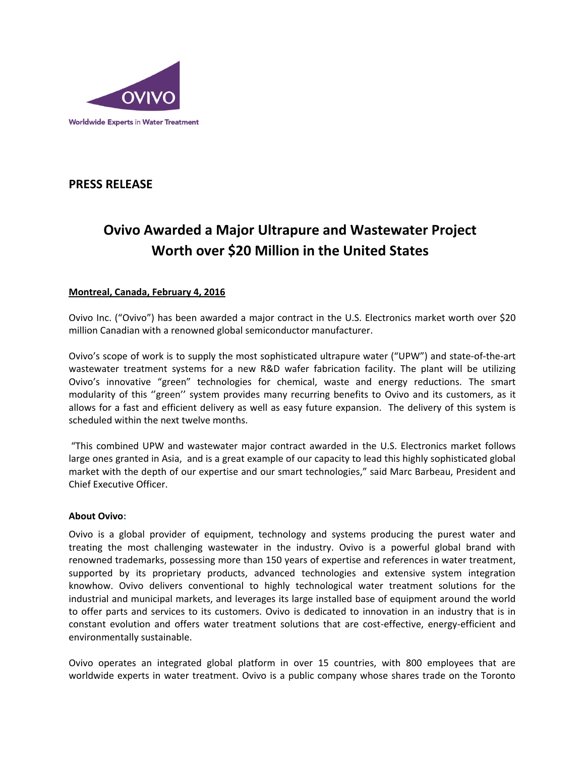

## **PRESS RELEASE**

# **Ovivo Awarded a Major Ultrapure and Wastewater Project Worth over \$20 Million in the United States**

### **Montreal, Canada, February 4, 2016**

Ovivo Inc. ("Ovivo") has been awarded a major contract in the U.S. Electronics market worth over \$20 million Canadian with a renowned global semiconductor manufacturer.

Ovivo's scope of work is to supply the most sophisticated ultrapure water ("UPW") and state-of-the-art wastewater treatment systems for a new R&D wafer fabrication facility. The plant will be utilizing Ovivo's innovative "green" technologies for chemical, waste and energy reductions. The smart modularity of this ''green'' system provides many recurring benefits to Ovivo and its customers, as it allows for a fast and efficient delivery as well as easy future expansion. The delivery of this system is scheduled within the next twelve months.

"This combined UPW and wastewater major contract awarded in the U.S. Electronics market follows large ones granted in Asia, and is a great example of our capacity to lead this highly sophisticated global market with the depth of our expertise and our smart technologies," said Marc Barbeau, President and Chief Executive Officer.

#### **About Ovivo:**

Ovivo is a global provider of equipment, technology and systems producing the purest water and treating the most challenging wastewater in the industry. Ovivo is a powerful global brand with renowned trademarks, possessing more than 150 years of expertise and references in water treatment, supported by its proprietary products, advanced technologies and extensive system integration knowhow. Ovivo delivers conventional to highly technological water treatment solutions for the industrial and municipal markets, and leverages its large installed base of equipment around the world to offer parts and services to its customers. Ovivo is dedicated to innovation in an industry that is in constant evolution and offers water treatment solutions that are cost-effective, energy-efficient and environmentally sustainable.

Ovivo operates an integrated global platform in over 15 countries, with 800 employees that are worldwide experts in water treatment. Ovivo is a public company whose shares trade on the Toronto